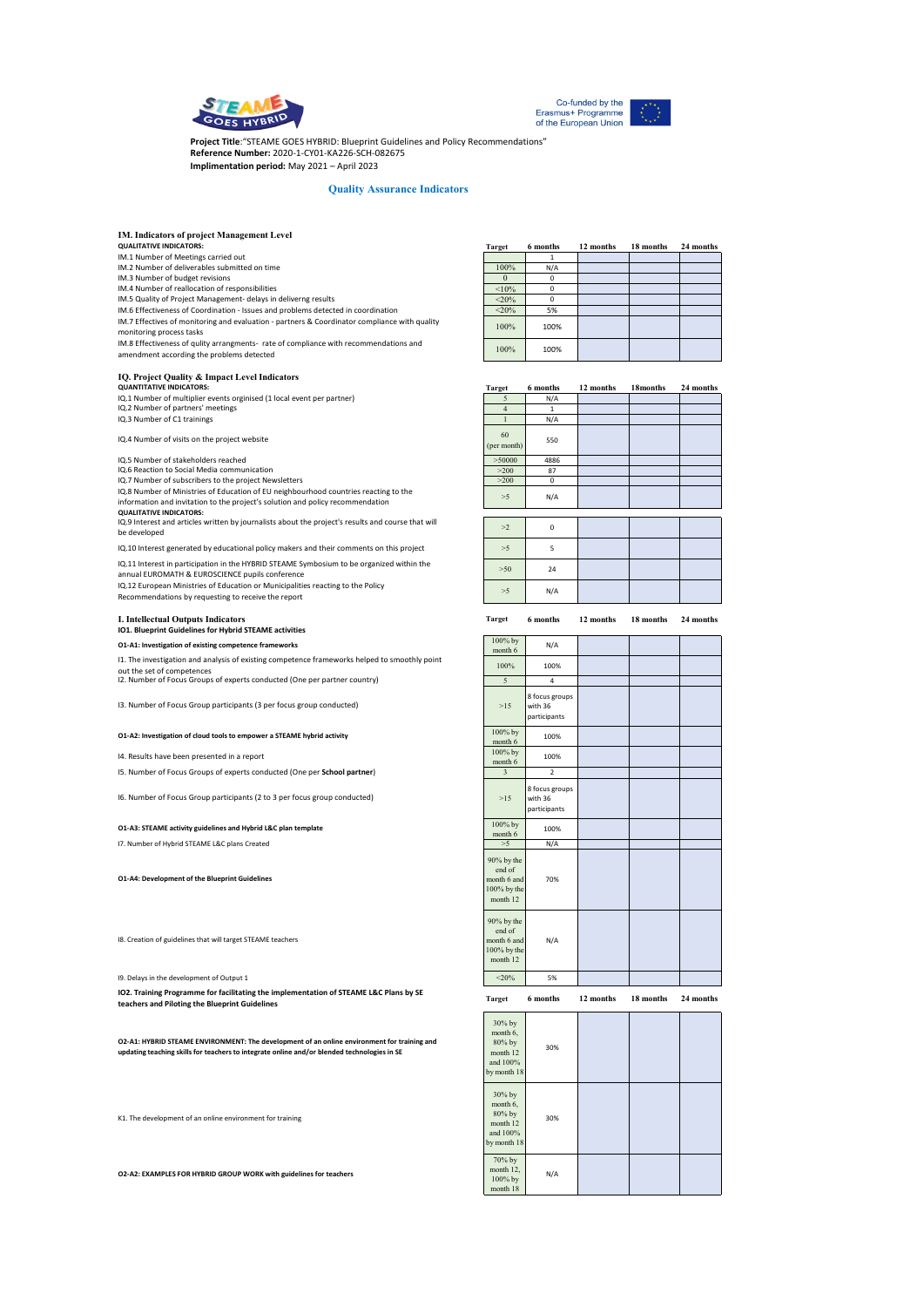



**Project Title**:"STEAME GOES HYBRID: Blueprint Guidelines and Policy Recommendations" **Reference Number:** 2020-1-CY01-KA226-SCH-082675 **Implimentation period:** May 2021 – April 2023

#### **Quality Assurance Indicators**

|  |  |  | IM. Indicators of project Management Level |  |
|--|--|--|--------------------------------------------|--|
|--|--|--|--------------------------------------------|--|

# **QUALITATIVE INDICATORS:**

IM.1 Number of Meetings carried out IM.2 Number of deliverables submitted on time

IM.3 Number of budget revisions

IM.4 Number of reallocation of responsibilities

IM.5 Quality of Project Management- delays in deliverng results IM.6 Effectiveness of Coordination - Issues and problems detected in coordination

IM.7 Effectives of monitoring and evaluation - partners & Coordinator compliance with quality monitoring process tasks

IM.8 Effectiveness of qulity arrangments- rate of compliance with recommendations and amendment according the problems detected

### **IQ. Project Quality & Impact Level Indicators**

IQ.2 Number of partners' meetings IQ.3 Number of C1 trainings **QUANTITATIVE INDICATORS:** IQ.1 Number of multiplier events orginised (1 local event per partner)

IQ.4 Number of visits on the project website

IQ.5 Number of stakeholders reached

IQ.6 Reaction to Social Media communication IQ.7 Number of subscribers to the project Newsletters

IQ.8 Number of Ministries of Education of EU neighbourhood countries reacting to the information and invitation to the project's solution and policy recommendation

**QUALITATIVE INDICATORS:** IQ.9 Interest and articles written by journalists about the project's results and course that will be developed

IQ.10 Interest generated by educational policy makers and their comments on this project

IQ.11 Interest in participation in the HYBRID STEAME Symbosium to be organized within the annual EUROMATH & EUROSCIENCE pupils conference

IQ.12 European Ministries of Education or Municipalities reacting to the Policy Recommendations by requesting to receive the report

## **I. Intellectual Outputs Indicators**

**IO1. Blueprint Guidelines for Hybrid STEAME activities O1-A1: Investigation of existing competence fram** 

I1. The investigation and analysis of existing competence frameworks helped to smoothly point

out the set of competences I2. Number of Focus Groups of experts conducted (One per partner country)

I3. Number of Focus Group participants (3 per focus group conducted)

# **O1-A2: Investigation of cloud tools to empower a STEAME hybrid acti**

I4. Results have been presented in a report

I5. Number of Focus Groups of experts conducted (One per **School partner**)

I6. Number of Focus Group participants (2 to 3 per focus group conducted)

#### **O1-A3: STEAME activity guidelines and Hybrid L&C plan template**

I7. Number of Hybrid STEAME L&C plans Created

**O1-A4: Development of the Blueprint Guidelines** 

I8. Creation of guidelines that will target STEAME teachers

I9. Delays in the development of Output 1

**IO2. Training Programme for facilitating the implementation of STEAME L&C Plans by SE teachers and Piloting the Blueprint Guidelines**

**O2-A1: HYBRID STEAME ENVIRONMENT: The development of an online environment for training and updating teaching skills for teachers to integrate online and/or blended technologies in SE** 

K1. The development of an online environment for training

**O2-A2: EXAMPLES FOR HYBRID GROUP WORK with guidelines for teachers** 

| <b>Target</b> | 6 months | 12 months | 18 months | 24 months |
|---------------|----------|-----------|-----------|-----------|
|               |          |           |           |           |
| 100%          | N/A      |           |           |           |
|               | o        |           |           |           |
| < 10%         | n        |           |           |           |
| < 20%         |          |           |           |           |
| < 20%         | 5%       |           |           |           |
| 100%          | 100%     |           |           |           |
| 100%          | 100%     |           |           |           |

| <b>Target</b>                                                  | 6 months                                  | 12 months | 18months  | 24 months |
|----------------------------------------------------------------|-------------------------------------------|-----------|-----------|-----------|
| 5                                                              | N/A                                       |           |           |           |
| $\overline{4}$                                                 | $\mathbf{1}$                              |           |           |           |
| $\mathbf{1}$                                                   | N/A                                       |           |           |           |
| 60<br>(per month)                                              | 550                                       |           |           |           |
| > 50000                                                        | 4886                                      |           |           |           |
| >200                                                           | 87                                        |           |           |           |
| >200                                                           | $\mathbf 0$                               |           |           |           |
| >5                                                             | N/A                                       |           |           |           |
| >2                                                             | $\mathbf 0$                               |           |           |           |
| >5                                                             | 5                                         |           |           |           |
| $>50$                                                          | 24                                        |           |           |           |
| >5                                                             | N/A                                       |           |           |           |
| <b>Target</b>                                                  | 6 months                                  | 12 months | 18 months | 24 months |
| 100% by<br>month 6                                             | N/A                                       |           |           |           |
| 100%                                                           | 100%                                      |           |           |           |
| 5                                                              | 4                                         |           |           |           |
| $>15$                                                          | 8 focus groups<br>with 36<br>participants |           |           |           |
| 100% by<br>month 6                                             | 100%                                      |           |           |           |
| 100% by<br>month 6                                             | 100%                                      |           |           |           |
| 3                                                              | $\overline{2}$                            |           |           |           |
| >15                                                            | 8 focus groups<br>with 36<br>participants |           |           |           |
| 100% by<br>month 6                                             | 100%                                      |           |           |           |
| $>5$                                                           | N/A                                       |           |           |           |
| 90% by the<br>end of<br>month 6 and<br>100% by the<br>month 12 | 70%                                       |           |           |           |
| 90% by the<br>end of<br>month 6 and<br>100% by the<br>month 12 | N/A                                       |           |           |           |

**Target 6 months 12 months 18 months 24 months**

 $\leq 20\%$  5%

| 30% by<br>month 6,<br>80% by<br>month 12<br>and 100%<br>by month 18 | 30% |  |  |
|---------------------------------------------------------------------|-----|--|--|
| 30% by<br>month 6,<br>80% by<br>month 12<br>and 100%<br>by month 18 | 30% |  |  |
| 70% by<br>month 12,<br>100% by<br>month 18                          | N/A |  |  |